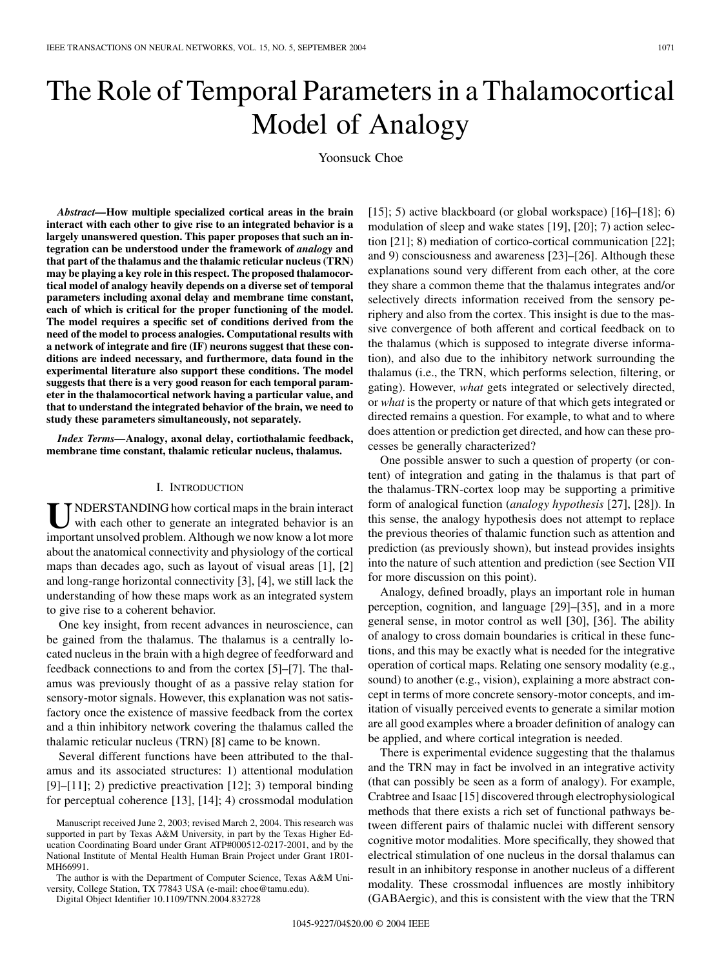# The Role of Temporal Parameters in a Thalamocortical Model of Analogy

Yoonsuck Choe

*Abstract—***How multiple specialized cortical areas in the brain interact with each other to give rise to an integrated behavior is a largely unanswered question. This paper proposes that such an integration can be understood under the framework of** *analogy* **and that part of the thalamus and the thalamic reticular nucleus (TRN) may be playing a key role in this respect. The proposed thalamocortical model of analogy heavily depends on a diverse set of temporal parameters including axonal delay and membrane time constant, each of which is critical for the proper functioning of the model. The model requires a specific set of conditions derived from the need of the model to process analogies. Computational results with a network of integrate and fire (IF) neurons suggest that these conditions are indeed necessary, and furthermore, data found in the experimental literature also support these conditions. The model suggests that there is a very good reason for each temporal parameter in the thalamocortical network having a particular value, and that to understand the integrated behavior of the brain, we need to study these parameters simultaneously, not separately.**

*Index Terms—***Analogy, axonal delay, cortiothalamic feedback, membrane time constant, thalamic reticular nucleus, thalamus.**

### I. INTRODUCTION

U NDERSTANDING how cortical maps in the brain interact<br>with each other to generate an integrated behavior is an<br>important uncelled problem. Although we new linear olet more important unsolved problem. Although we now know a lot more about the anatomical connectivity and physiology of the cortical maps than decades ago, such as layout of visual areas [[1\]](#page-9-0), [[2\]](#page-9-0) and long-range horizontal connectivity [[3\]](#page-9-0), [[4\]](#page-9-0), we still lack the understanding of how these maps work as an integrated system to give rise to a coherent behavior.

One key insight, from recent advances in neuroscience, can be gained from the thalamus. The thalamus is a centrally located nucleus in the brain with a high degree of feedforward and feedback connections to and from the cortex [[5\]](#page-9-0)–[\[7](#page-9-0)]. The thalamus was previously thought of as a passive relay station for sensory-motor signals. However, this explanation was not satisfactory once the existence of massive feedback from the cortex and a thin inhibitory network covering the thalamus called the thalamic reticular nucleus (TRN) [\[8](#page-9-0)] came to be known.

Several different functions have been attributed to the thalamus and its associated structures: 1) attentional modulation [\[9](#page-9-0)]–[\[11\]](#page-10-0); 2) predictive preactivation [\[12](#page-10-0)]; 3) temporal binding for perceptual coherence [[13\]](#page-10-0), [\[14](#page-10-0)]; 4) crossmodal modulation

Digital Object Identifier 10.1109/TNN.2004.832728

[\[15](#page-10-0)]; 5) active blackboard (or global workspace)  $[16]$  $[16]$ –[[18\]](#page-10-0); 6) modulation of sleep and wake states [\[19](#page-10-0)], [[20\]](#page-10-0); 7) action selection [\[21](#page-10-0)]; 8) mediation of cortico-cortical communication [\[22](#page-10-0)]; and 9) consciousness and awareness [[23\]](#page-10-0)–[\[26](#page-10-0)]. Although these explanations sound very different from each other, at the core they share a common theme that the thalamus integrates and/or selectively directs information received from the sensory periphery and also from the cortex. This insight is due to the massive convergence of both afferent and cortical feedback on to the thalamus (which is supposed to integrate diverse information), and also due to the inhibitory network surrounding the thalamus (i.e., the TRN, which performs selection, filtering, or gating). However, *what* gets integrated or selectively directed, or *what* is the property or nature of that which gets integrated or directed remains a question. For example, to what and to where does attention or prediction get directed, and how can these processes be generally characterized?

One possible answer to such a question of property (or content) of integration and gating in the thalamus is that part of the thalamus-TRN-cortex loop may be supporting a primitive form of analogical function (*analogy hypothesis* [\[27](#page-10-0)], [\[28\]](#page-10-0)). In this sense, the analogy hypothesis does not attempt to replace the previous theories of thalamic function such as attention and prediction (as previously shown), but instead provides insights into the nature of such attention and prediction (see Section VII for more discussion on this point).

Analogy, defined broadly, plays an important role in human perception, cognition, and language [[29\]](#page-10-0)–[\[35](#page-10-0)], and in a more general sense, in motor control as well [\[30](#page-10-0)], [[36\]](#page-10-0). The ability of analogy to cross domain boundaries is critical in these functions, and this may be exactly what is needed for the integrative operation of cortical maps. Relating one sensory modality (e.g., sound) to another (e.g., vision), explaining a more abstract concept in terms of more concrete sensory-motor concepts, and imitation of visually perceived events to generate a similar motion are all good examples where a broader definition of analogy can be applied, and where cortical integration is needed.

There is experimental evidence suggesting that the thalamus and the TRN may in fact be involved in an integrative activity (that can possibly be seen as a form of analogy). For example, Crabtree and Isaac [[15\]](#page-10-0) discovered through electrophysiological methods that there exists a rich set of functional pathways between different pairs of thalamic nuclei with different sensory cognitive motor modalities. More specifically, they showed that electrical stimulation of one nucleus in the dorsal thalamus can result in an inhibitory response in another nucleus of a different modality. These crossmodal influences are mostly inhibitory (GABAergic), and this is consistent with the view that the TRN

Manuscript received June 2, 2003; revised March 2, 2004. This research was supported in part by Texas A&M University, in part by the Texas Higher Education Coordinating Board under Grant ATP#000512-0217-2001, and by the National Institute of Mental Health Human Brain Project under Grant 1R01- MH66991.

The author is with the Department of Computer Science, Texas A&M University, College Station, TX 77843 USA (e-mail: choe@tamu.edu).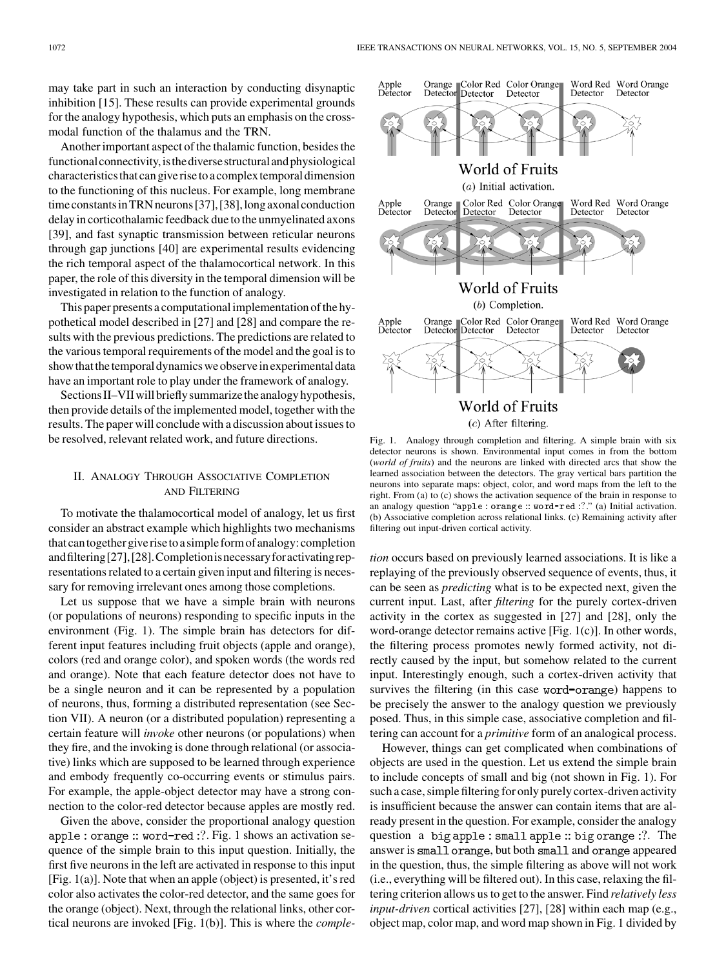may take part in such an interaction by conducting disynaptic inhibition [[15\]](#page-10-0). These results can provide experimental grounds for the analogy hypothesis, which puts an emphasis on the crossmodal function of the thalamus and the TRN.

Another important aspect of the thalamic function, besides the functional connectivity, is the diverse structural and physiological characteristics that can give rise to a complex temporal dimension to the functioning of this nucleus. For example, long membrane time constants in TRN neurons [[37\]](#page-10-0), [[38\]](#page-10-0), long axonal conduction delay in corticothalamic feedback due to the unmyelinated axons [[39\]](#page-10-0), and fast synaptic transmission between reticular neurons through gap junctions [[40\]](#page-10-0) are experimental results evidencing the rich temporal aspect of the thalamocortical network. In this paper, the role of this diversity in the temporal dimension will be investigated in relation to the function of analogy.

This paper presents a computational implementation of the hypothetical model described in [[27\]](#page-10-0) and [[28\]](#page-10-0) and compare the results with the previous predictions. The predictions are related to the various temporal requirements of the model and the goal is to show that the temporal dynamics we observe in experimental data have an important role to play under the framework of analogy.

Sections II–VII will briefly summarize the analogy hypothesis, then provide details of the implemented model, together with the results. The paper will conclude with a discussion about issues to be resolved, relevant related work, and future directions.

## II. ANALOGY THROUGH ASSOCIATIVE COMPLETION AND FILTERING

To motivate the thalamocortical model of analogy, let us first consider an abstract example which highlights two mechanisms thatcantogethergiverisetoasimpleformofanalogy:completion andfiltering[[27\]](#page-10-0),[[28\]](#page-10-0).Completionisnecessaryforactivatingrepresentations related to a certain given input and filtering is necessary for removing irrelevant ones among those completions.

Let us suppose that we have a simple brain with neurons (or populations of neurons) responding to specific inputs in the environment (Fig. 1). The simple brain has detectors for different input features including fruit objects (apple and orange), colors (red and orange color), and spoken words (the words red and orange). Note that each feature detector does not have to be a single neuron and it can be represented by a population of neurons, thus, forming a distributed representation (see Section VII). A neuron (or a distributed population) representing a certain feature will *invoke* other neurons (or populations) when they fire, and the invoking is done through relational (or associative) links which are supposed to be learned through experience and embody frequently co-occurring events or stimulus pairs. For example, the apple-object detector may have a strong connection to the color-red detector because apples are mostly red.

Given the above, consider the proportional analogy question apple : orange :: word-red : ?. Fig. 1 shows an activation sequence of the simple brain to this input question. Initially, the first five neurons in the left are activated in response to this input [Fig. 1(a)]. Note that when an apple (object) is presented, it's red color also activates the color-red detector, and the same goes for the orange (object). Next, through the relational links, other cortical neurons are invoked [Fig. 1(b)]. This is where the *comple-*



 $(c)$  After filtering.

Fig. 1. Analogy through completion and filtering. A simple brain with six detector neurons is shown. Environmental input comes in from the bottom (*world of fruits*) and the neurons are linked with directed arcs that show the learned association between the detectors. The gray vertical bars partition the neurons into separate maps: object, color, and word maps from the left to the right. From (a) to (c) shows the activation sequence of the brain in response to an analogy question "apple : orange :: word-red :?." (a) Initial activation. (b) Associative completion across relational links. (c) Remaining activity after filtering out input-driven cortical activity.

*tion* occurs based on previously learned associations. It is like a replaying of the previously observed sequence of events, thus, it can be seen as *predicting* what is to be expected next, given the current input. Last, after *filtering* for the purely cortex-driven activity in the cortex as suggested in [[27\]](#page-10-0) and [\[28](#page-10-0)], only the word-orange detector remains active [Fig. 1(c)]. In other words, the filtering process promotes newly formed activity, not directly caused by the input, but somehow related to the current input. Interestingly enough, such a cortex-driven activity that survives the filtering (in this case word-orange) happens to be precisely the answer to the analogy question we previously posed. Thus, in this simple case, associative completion and filtering can account for a *primitive* form of an analogical process.

However, things can get complicated when combinations of objects are used in the question. Let us extend the simple brain to include concepts of small and big (not shown in Fig. 1). For such a case, simple filtering for only purely cortex-driven activity is insufficient because the answer can contain items that are already present in the question. For example, consider the analogy question a big apple:  $small$  apple: big orange:  $?$ . The answer is small orange, but both small and orange appeared in the question, thus, the simple filtering as above will not work (i.e., everything will be filtered out). In this case, relaxing the filtering criterion allows us to get to the answer. Find *relatively less input-driven* cortical activities [\[27](#page-10-0)], [[28\]](#page-10-0) within each map (e.g., object map, color map, and word map shown in Fig. 1 divided by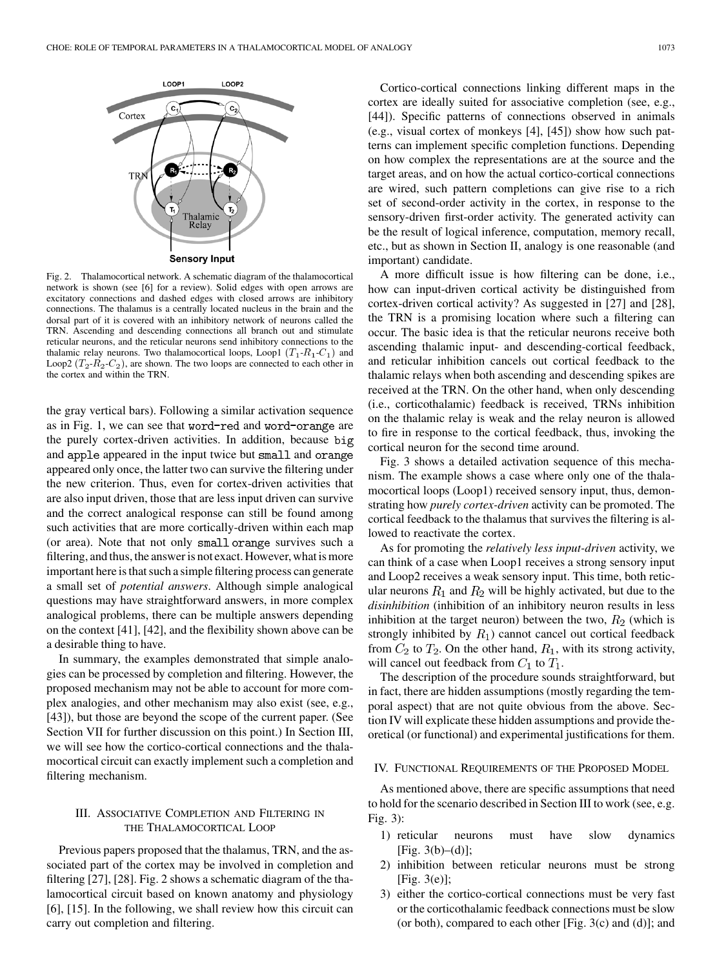

Fig. 2. Thalamocortical network. A schematic diagram of the thalamocortical network is shown (see [[6\]](#page-9-0) for a review). Solid edges with open arrows are excitatory connections and dashed edges with closed arrows are inhibitory connections. The thalamus is a centrally located nucleus in the brain and the dorsal part of it is covered with an inhibitory network of neurons called the TRN. Ascending and descending connections all branch out and stimulate reticular neurons, and the reticular neurons send inhibitory connections to the thalamic relay neurons. Two thalamocortical loops, Loop1  $(T_1 - R_1 - C_1)$  and Loop2 ( $T_2$ - $R_2$ - $C_2$ ), are shown. The two loops are connected to each other in the cortex and within the TRN.

the gray vertical bars). Following a similar activation sequence as in Fig. 1, we can see that word-red and word-orange are the purely cortex-driven activities. In addition, because and apple appeared in the input twice but small and orange appeared only once, the latter two can survive the filtering under the new criterion. Thus, even for cortex-driven activities that are also input driven, those that are less input driven can survive and the correct analogical response can still be found among such activities that are more cortically-driven within each map (or area). Note that not only small orange survives such a filtering, and thus, the answer is not exact. However, what is more important here is that such a simple filtering process can generate a small set of *potential answers*. Although simple analogical questions may have straightforward answers, in more complex analogical problems, there can be multiple answers depending on the context [\[41](#page-10-0)], [[42\]](#page-10-0), and the flexibility shown above can be a desirable thing to have.

In summary, the examples demonstrated that simple analogies can be processed by completion and filtering. However, the proposed mechanism may not be able to account for more complex analogies, and other mechanism may also exist (see, e.g., [\[43](#page-10-0)]), but those are beyond the scope of the current paper. (See Section VII for further discussion on this point.) In Section III, we will see how the cortico-cortical connections and the thalamocortical circuit can exactly implement such a completion and filtering mechanism.

## III. ASSOCIATIVE COMPLETION AND FILTERING IN THE THALAMOCORTICAL LOOP

Previous papers proposed that the thalamus, TRN, and the associated part of the cortex may be involved in completion and filtering [\[27](#page-10-0)], [\[28](#page-10-0)]. Fig. 2 shows a schematic diagram of the thalamocortical circuit based on known anatomy and physiology [\[6](#page-9-0)], [\[15](#page-10-0)]. In the following, we shall review how this circuit can carry out completion and filtering.

Cortico-cortical connections linking different maps in the cortex are ideally suited for associative completion (see, e.g., [\[44](#page-10-0)]). Specific patterns of connections observed in animals (e.g., visual cortex of monkeys [[4\]](#page-9-0), [\[45\]](#page-10-0)) show how such patterns can implement specific completion functions. Depending on how complex the representations are at the source and the target areas, and on how the actual cortico-cortical connections are wired, such pattern completions can give rise to a rich set of second-order activity in the cortex, in response to the sensory-driven first-order activity. The generated activity can be the result of logical inference, computation, memory recall, etc., but as shown in Section II, analogy is one reasonable (and important) candidate.

A more difficult issue is how filtering can be done, i.e., how can input-driven cortical activity be distinguished from cortex-driven cortical activity? As suggested in [[27\]](#page-10-0) and [\[28](#page-10-0)], the TRN is a promising location where such a filtering can occur. The basic idea is that the reticular neurons receive both ascending thalamic input- and descending-cortical feedback, and reticular inhibition cancels out cortical feedback to the thalamic relays when both ascending and descending spikes are received at the TRN. On the other hand, when only descending (i.e., corticothalamic) feedback is received, TRNs inhibition on the thalamic relay is weak and the relay neuron is allowed to fire in response to the cortical feedback, thus, invoking the cortical neuron for the second time around.

Fig. 3 shows a detailed activation sequence of this mechanism. The example shows a case where only one of the thalamocortical loops (Loop1) received sensory input, thus, demonstrating how *purely cortex-driven* activity can be promoted. The cortical feedback to the thalamus that survives the filtering is allowed to reactivate the cortex.

As for promoting the *relatively less input-driven* activity, we can think of a case when Loop1 receives a strong sensory input and Loop2 receives a weak sensory input. This time, both reticular neurons  $R_1$  and  $R_2$  will be highly activated, but due to the *disinhibition* (inhibition of an inhibitory neuron results in less inhibition at the target neuron) between the two,  $R_2$  (which is strongly inhibited by  $R_1$ ) cannot cancel out cortical feedback from  $C_2$  to  $T_2$ . On the other hand,  $R_1$ , with its strong activity, will cancel out feedback from  $C_1$  to  $T_1$ .

The description of the procedure sounds straightforward, but in fact, there are hidden assumptions (mostly regarding the temporal aspect) that are not quite obvious from the above. Section IV will explicate these hidden assumptions and provide theoretical (or functional) and experimental justifications for them.

#### IV. FUNCTIONAL REQUIREMENTS OF THE PROPOSED MODEL

As mentioned above, there are specific assumptions that need to hold for the scenario described in Section III to work (see, e.g. Fig. 3):

- 1) reticular neurons must have slow dynamics  $[Fig. 3(b)–(d)];$
- 2) inhibition between reticular neurons must be strong [Fig. 3(e)];
- 3) either the cortico-cortical connections must be very fast or the corticothalamic feedback connections must be slow (or both), compared to each other [Fig. 3(c) and (d)]; and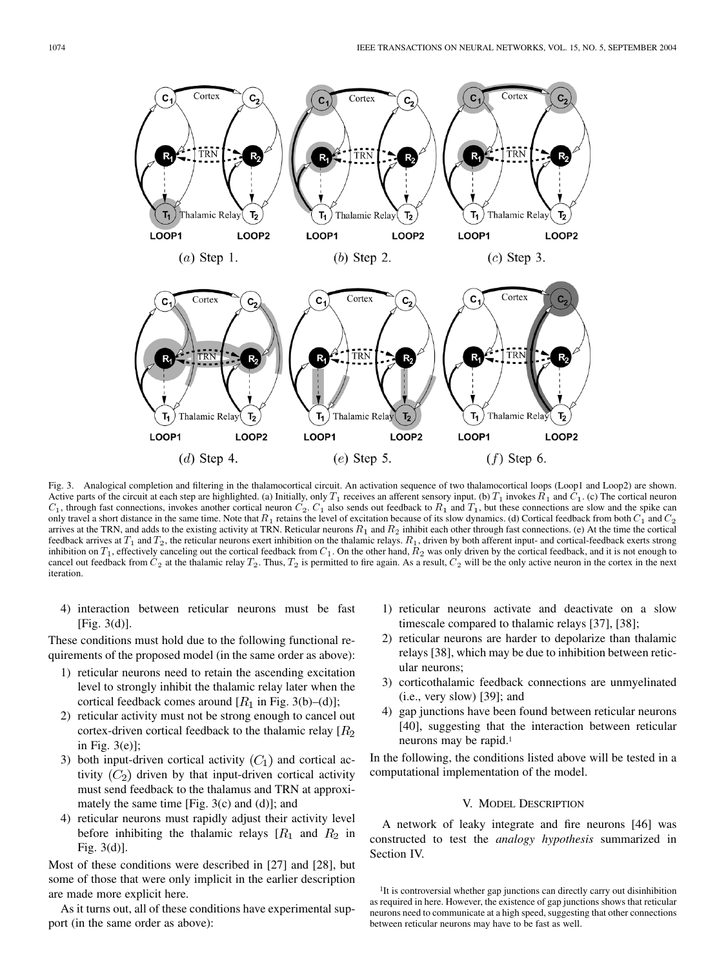

Fig. 3. Analogical completion and filtering in the thalamocortical circuit. An activation sequence of two thalamocortical loops (Loop1 and Loop2) are shown. Active parts of the circuit at each step are highlighted. (a) Initially, only  $T_1$  receives an afferent sensory input. (b)  $T_1$  invokes  $\overline{R}_1$  and  $\overline{C}_1$ . (c) The cortical neuron  $C_1$ , through fast connections, invokes another cortical neuron  $C_2$ .  $C_1$  also sends out feedback to  $R_1$  and  $T_1$ , but these connections are slow and the spike can only travel a short distance in the same time. Note that  $R_1$  retains the level of excitation because of its slow dynamics. (d) Cortical feedback from both  $C_1$  and  $C_2$ arrives at the TRN, and adds to the existing activity at TRN. Reticular neurons  $R_1$  and  $R_2$  inhibit each other through fast connections. (e) At the time the cortical feedback arrives at  $T_1$  and  $T_2$ , the reticular neurons exert inhibition on the thalamic relays.  $R_1$ , driven by both afferent input- and cortical-feedback exerts strong inhibition on  $T_1$ , effectively canceling out the cortical feedback from  $C_1$ . On the other hand,  $R_2$  was only driven by the cortical feedback, and it is not enough to cancel out feedback from  $C_2$  at the thalamic relay  $T_2$ . Thus,  $T_2$  is permitted to fire again. As a result,  $C_2$  will be the only active neuron in the cortex in the next iteration.

4) interaction between reticular neurons must be fast [Fig. 3(d)].

These conditions must hold due to the following functional requirements of the proposed model (in the same order as above):

- 1) reticular neurons need to retain the ascending excitation level to strongly inhibit the thalamic relay later when the cortical feedback comes around  $[R_1$  in Fig. 3(b)–(d)];
- 2) reticular activity must not be strong enough to cancel out cortex-driven cortical feedback to the thalamic relay  $[R_2]$ in Fig. 3(e)];
- 3) both input-driven cortical activity  $(C_1)$  and cortical activity  $(C_2)$  driven by that input-driven cortical activity must send feedback to the thalamus and TRN at approximately the same time [Fig. 3(c) and (d)]; and
- 4) reticular neurons must rapidly adjust their activity level before inhibiting the thalamic relays  $[R_1$  and  $R_2$  in Fig. 3(d)].

Most of these conditions were described in [[27\]](#page-10-0) and [\[28](#page-10-0)], but some of those that were only implicit in the earlier description are made more explicit here.

As it turns out, all of these conditions have experimental support (in the same order as above):

- 1) reticular neurons activate and deactivate on a slow timescale compared to thalamic relays [\[37](#page-10-0)], [\[38](#page-10-0)];
- 2) reticular neurons are harder to depolarize than thalamic relays [[38\]](#page-10-0), which may be due to inhibition between reticular neurons;
- 3) corticothalamic feedback connections are unmyelinated (i.e., very slow) [[39\]](#page-10-0); and
- 4) gap junctions have been found between reticular neurons [[40\]](#page-10-0), suggesting that the interaction between reticular neurons may be rapid.1

In the following, the conditions listed above will be tested in a computational implementation of the model.

## V. MODEL DESCRIPTION

A network of leaky integrate and fire neurons [[46\]](#page-10-0) was constructed to test the *analogy hypothesis* summarized in Section IV.

<sup>&</sup>lt;sup>1</sup>It is controversial whether gap junctions can directly carry out disinhibition as required in here. However, the existence of gap junctions shows that reticular neurons need to communicate at a high speed, suggesting that other connections between reticular neurons may have to be fast as well.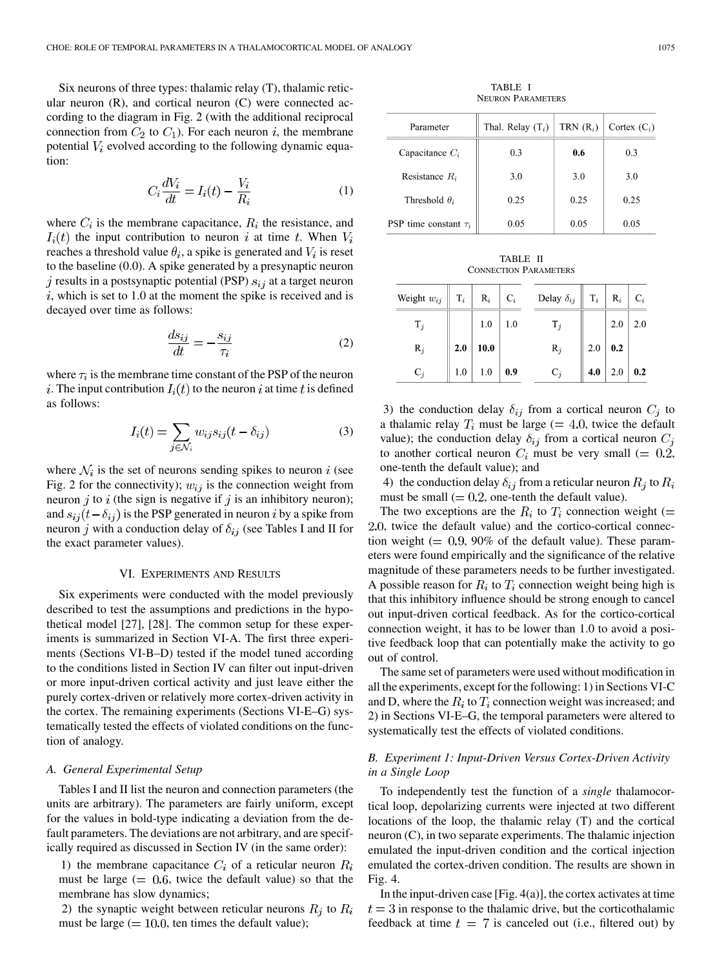Six neurons of three types: thalamic relay (T), thalamic reticular neuron (R), and cortical neuron (C) were connected according to the diagram in Fig. 2 (with the additional reciprocal connection from  $C_2$  to  $C_1$ ). For each neuron i, the membrane potential  $V_i$  evolved according to the following dynamic equation:

$$
C_i \frac{dV_i}{dt} = I_i(t) - \frac{V_i}{R_i}
$$
 (1)

where  $C_i$  is the membrane capacitance,  $R_i$  the resistance, and  $I_i(t)$  the input contribution to neuron i at time t. When  $V_i$ reaches a threshold value  $\theta_i$ , a spike is generated and  $V_i$  is reset to the baseline (0.0). A spike generated by a presynaptic neuron j results in a postsynaptic potential (PSP)  $s_{ij}$  at a target neuron  $i$ , which is set to 1.0 at the moment the spike is received and is decayed over time as follows:

$$
\frac{ds_{ij}}{dt} = -\frac{s_{ij}}{\tau_i} \tag{2}
$$

where  $\tau_i$  is the membrane time constant of the PSP of the neuron i. The input contribution  $I_i(t)$  to the neuron i at time t is defined as follows:

$$
I_i(t) = \sum_{j \in \mathcal{N}_i} w_{ij} s_{ij}(t - \delta_{ij})
$$
 (3)

where  $\mathcal{N}_i$  is the set of neurons sending spikes to neuron i (see Fig. 2 for the connectivity);  $w_{ij}$  is the connection weight from neuron  $j$  to  $i$  (the sign is negative if  $j$  is an inhibitory neuron); and  $s_{ij}(t - \delta_{ij})$  is the PSP generated in neuron i by a spike from neuron j with a conduction delay of  $\delta_{ij}$  (see Tables I and II for the exact parameter values).

#### VI. EXPERIMENTS AND RESULTS

Six experiments were conducted with the model previously described to test the assumptions and predictions in the hypothetical model [\[27](#page-10-0)], [[28\]](#page-10-0). The common setup for these experiments is summarized in Section VI-A. The first three experiments (Sections VI-B–D) tested if the model tuned according to the conditions listed in Section IV can filter out input-driven or more input-driven cortical activity and just leave either the purely cortex-driven or relatively more cortex-driven activity in the cortex. The remaining experiments (Sections VI-E–G) systematically tested the effects of violated conditions on the function of analogy.

#### *A. General Experimental Setup*

Tables I and II list the neuron and connection parameters (the units are arbitrary). The parameters are fairly uniform, except for the values in bold-type indicating a deviation from the default parameters. The deviations are not arbitrary, and are specifically required as discussed in Section IV (in the same order):

1) the membrane capacitance  $C_i$  of a reticular neuron  $R_i$ must be large  $( = 0.6,$  twice the default value) so that the membrane has slow dynamics;

2) the synaptic weight between reticular neurons  $R_i$  to  $R_i$ must be large  $( = 10.0, \text{ ten times the default value});$ 

TABLE I NEURON PARAMETERS

| Parameter                  | Thal. Relay $(T_i)$ | TRN $(R_i)$ | Cortex $(C_i)$ |  |
|----------------------------|---------------------|-------------|----------------|--|
| Capacitance $C_i$          | 0.3                 | 0.6         | 0.3            |  |
| Resistance $R_i$           | 3.0                 | 3.0         | 3.0            |  |
| Threshold $\theta_i$       | 0.25                | 0.25        | 0.25           |  |
| PSP time constant $\tau_i$ | 0.05                | 0.05        | 0.05           |  |

TABLE II CONNECTION PARAMETERS

| Weight $w_{ij}$ | $T_i$ | $\mathrm{R}_i$ | $C_i$ | Delay $\delta_{ij}$ | $T_i$ | $\mathbf{R}_i$ | $C_i$ |
|-----------------|-------|----------------|-------|---------------------|-------|----------------|-------|
| $T_j$           |       | 1.0            | 1.0   | $T_j$               |       | 2.0            | 2.0   |
| $R_j$           | 2.0   | 10.0           |       | $R_j$               | 2.0   | 0.2            |       |
| $C_j$           | 1.0   | 1.0            | 0.9   | $C_j$               | 4.0   | 2.0            | 0.2   |

3) the conduction delay  $\delta_{ij}$  from a cortical neuron  $C_j$  to a thalamic relay  $T_i$  must be large (= 4.0, twice the default value); the conduction delay  $\delta_{ij}$  from a cortical neuron  $C_j$ to another cortical neuron  $C_i$  must be very small (= 0.2, one-tenth the default value); and

4) the conduction delay  $\delta_{ij}$  from a reticular neuron  $R_j$  to  $R_i$ must be small  $( = 0.2,$  one-tenth the default value).

The two exceptions are the  $R_i$  to  $T_i$  connection weight (= , twice the default value) and the cortico-cortical connection weight  $( = 0.9, 90\%$  of the default value). These parameters were found empirically and the significance of the relative magnitude of these parameters needs to be further investigated. A possible reason for  $R_i$  to  $T_i$  connection weight being high is that this inhibitory influence should be strong enough to cancel out input-driven cortical feedback. As for the cortico-cortical connection weight, it has to be lower than 1.0 to avoid a positive feedback loop that can potentially make the activity to go out of control.

The same set of parameters were used without modification in all the experiments, except for the following: 1) in Sections VI-C and D, where the  $R_i$  to  $T_i$  connection weight was increased; and 2) in Sections VI-E–G, the temporal parameters were altered to systematically test the effects of violated conditions.

## *B. Experiment 1: Input-Driven Versus Cortex-Driven Activity in a Single Loop*

To independently test the function of a *single* thalamocortical loop, depolarizing currents were injected at two different locations of the loop, the thalamic relay (T) and the cortical neuron (C), in two separate experiments. The thalamic injection emulated the input-driven condition and the cortical injection emulated the cortex-driven condition. The results are shown in Fig. 4.

In the input-driven case  $[Fig. 4(a)]$ , the cortex activates at time  $t=3$  in response to the thalamic drive, but the corticothalamic feedback at time  $t = 7$  is canceled out (i.e., filtered out) by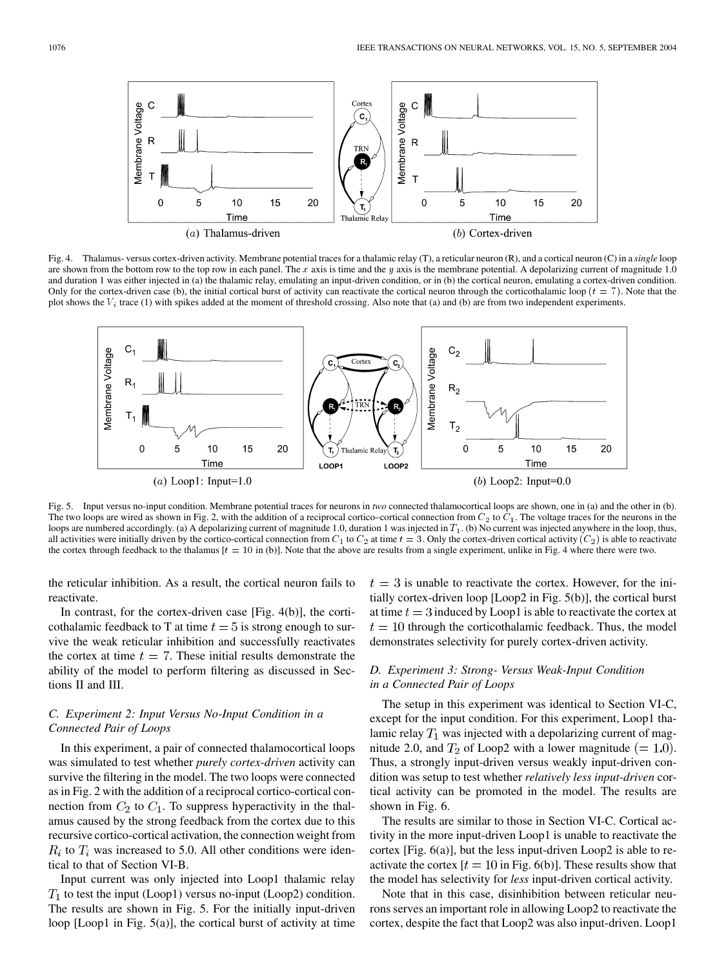

Fig. 4. Thalamus- versus cortex-driven activity. Membrane potential traces for a thalamic relay (T), a reticular neuron (R), and a cortical neuron (C) in a *single* loop are shown from the bottom row to the top row in each panel. The  $x$  axis is time and the  $y$  axis is the membrane potential. A depolarizing current of magnitude 1.0 and duration 1 was either injected in (a) the thalamic relay, emulating an input-driven condition, or in (b) the cortical neuron, emulating a cortex-driven condition. Only for the cortex-driven case (b), the initial cortical burst of activity can reactivate the cortical neuron through the corticothalamic loop ( $t = 7$ ). Note that the plot shows the  $V_i$  trace (1) with spikes added at the moment of threshold crossing. Also note that (a) and (b) are from two independent experiments.



Fig. 5. Input versus no-input condition. Membrane potential traces for neurons in *two* connected thalamocortical loops are shown, one in (a) and the other in (b). The two loops are wired as shown in Fig. 2, with the addition of a reciprocal cortico–cortical connection from  $C_2$  to  $C_1$ . The voltage traces for the neurons in the loops are numbered accordingly. (a) A depolarizing current of magnitude 1.0, duration 1 was injected in  $T_1$ . (b) No current was injected anywhere in the loop, thus, all activities were initially driven by the cortico-cortical connection from  $C_1$  to  $C_2$  at time  $t = 3$ . Only the cortex-driven cortical activity  $(C_2)$  is able to reactivate the cortex through feedback to the thalamus  $[t = 10$  in (b)]. Note that the above are results from a single experiment, unlike in Fig. 4 where there were two.

the reticular inhibition. As a result, the cortical neuron fails to reactivate.

In contrast, for the cortex-driven case [Fig. 4(b)], the corticothalamic feedback to T at time  $t = 5$  is strong enough to survive the weak reticular inhibition and successfully reactivates the cortex at time  $t = 7$ . These initial results demonstrate the ability of the model to perform filtering as discussed in Sections II and III.

# *C. Experiment 2: Input Versus No-Input Condition in a Connected Pair of Loops*

In this experiment, a pair of connected thalamocortical loops was simulated to test whether *purely cortex-driven* activity can survive the filtering in the model. The two loops were connected as in Fig. 2 with the addition of a reciprocal cortico-cortical connection from  $C_2$  to  $C_1$ . To suppress hyperactivity in the thalamus caused by the strong feedback from the cortex due to this recursive cortico-cortical activation, the connection weight from  $R_i$  to  $T_i$  was increased to 5.0. All other conditions were identical to that of Section VI-B.

Input current was only injected into Loop1 thalamic relay  $T_1$  to test the input (Loop1) versus no-input (Loop2) condition. The results are shown in Fig. 5. For the initially input-driven loop [Loop1 in Fig. 5(a)], the cortical burst of activity at time  $t=3$  is unable to reactivate the cortex. However, for the initially cortex-driven loop [Loop2 in Fig. 5(b)], the cortical burst at time  $t = 3$  induced by Loop1 is able to reactivate the cortex at  $t=10$  through the corticothalamic feedback. Thus, the model demonstrates selectivity for purely cortex-driven activity.

## *D. Experiment 3: Strong- Versus Weak-Input Condition in a Connected Pair of Loops*

The setup in this experiment was identical to Section VI-C, except for the input condition. For this experiment, Loop1 thalamic relay  $T_1$  was injected with a depolarizing current of magnitude 2.0, and  $T_2$  of Loop2 with a lower magnitude  $(= 1.0)$ . Thus, a strongly input-driven versus weakly input-driven condition was setup to test whether *relatively less input-driven* cortical activity can be promoted in the model. The results are shown in Fig. 6.

The results are similar to those in Section VI-C. Cortical activity in the more input-driven Loop1 is unable to reactivate the cortex [Fig. 6(a)], but the less input-driven Loop2 is able to reactivate the cortex  $[t = 10$  in Fig. 6(b)]. These results show that the model has selectivity for *less* input-driven cortical activity.

Note that in this case, disinhibition between reticular neurons serves an important role in allowing Loop2 to reactivate the cortex, despite the fact that Loop2 was also input-driven. Loop1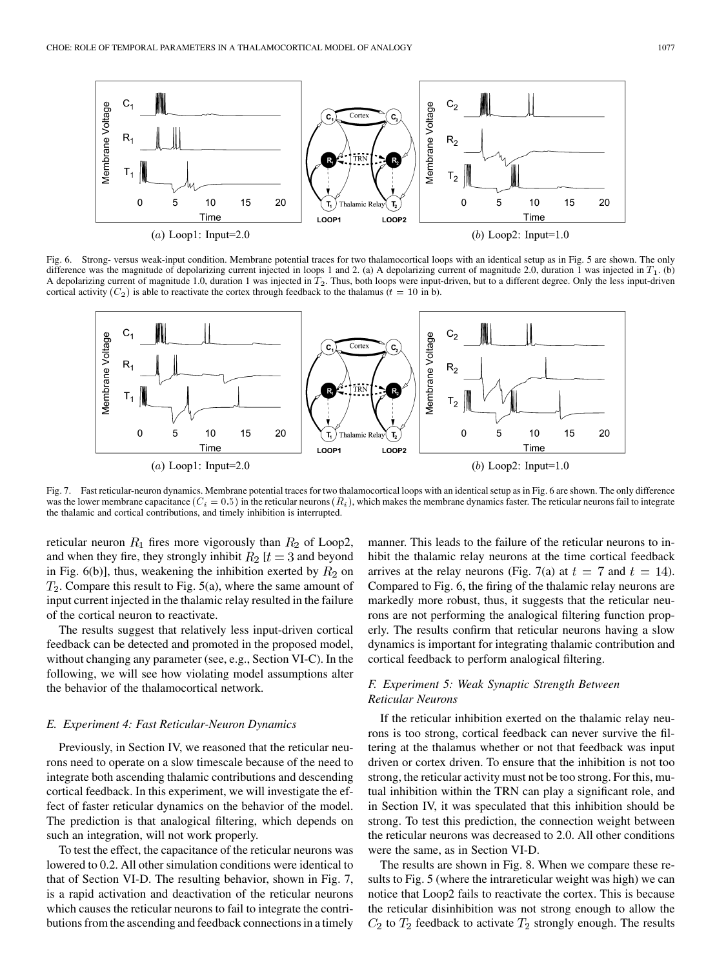

Fig. 6. Strong- versus weak-input condition. Membrane potential traces for two thalamocortical loops with an identical setup as in Fig. 5 are shown. The only difference was the magnitude of depolarizing current injected in loops 1 and 2. (a) A depolarizing current of magnitude 2.0, duration 1 was injected in  $T_1$ . (b) A depolarizing current of magnitude 1.0, duration 1 was injected in  $T_2$ . Thus, both loops were input-driven, but to a different degree. Only the less input-driven cortical activity  $(C_2)$  is able to reactivate the cortex through feedback to the thalamus ( $t = 10$  in b).



Fig. 7. Fast reticular-neuron dynamics. Membrane potential traces for two thalamocortical loops with an identical setup as in Fig. 6 are shown. The only difference was the lower membrane capacitance  $(C_i = 0.5)$  in the reticular neurons  $(R_i)$ , which makes the membrane dynamics faster. The reticular neurons fail to integrate the thalamic and cortical contributions, and timely inhibition is interrupted.

reticular neuron  $R_1$  fires more vigorously than  $R_2$  of Loop2, and when they fire, they strongly inhibit  $R_2$  [ $t = 3$  and beyond in Fig. 6(b)], thus, weakening the inhibition exerted by  $R_2$  on  $T_2$ . Compare this result to Fig. 5(a), where the same amount of input current injected in the thalamic relay resulted in the failure of the cortical neuron to reactivate.

The results suggest that relatively less input-driven cortical feedback can be detected and promoted in the proposed model, without changing any parameter (see, e.g., Section VI-C). In the following, we will see how violating model assumptions alter the behavior of the thalamocortical network.

## *E. Experiment 4: Fast Reticular-Neuron Dynamics*

Previously, in Section IV, we reasoned that the reticular neurons need to operate on a slow timescale because of the need to integrate both ascending thalamic contributions and descending cortical feedback. In this experiment, we will investigate the effect of faster reticular dynamics on the behavior of the model. The prediction is that analogical filtering, which depends on such an integration, will not work properly.

To test the effect, the capacitance of the reticular neurons was lowered to 0.2. All other simulation conditions were identical to that of Section VI-D. The resulting behavior, shown in Fig. 7, is a rapid activation and deactivation of the reticular neurons which causes the reticular neurons to fail to integrate the contributions from the ascending and feedback connections in a timely

manner. This leads to the failure of the reticular neurons to inhibit the thalamic relay neurons at the time cortical feedback arrives at the relay neurons (Fig. 7(a) at  $t = 7$  and  $t = 14$ ). Compared to Fig. 6, the firing of the thalamic relay neurons are markedly more robust, thus, it suggests that the reticular neurons are not performing the analogical filtering function properly. The results confirm that reticular neurons having a slow dynamics is important for integrating thalamic contribution and cortical feedback to perform analogical filtering.

# *F. Experiment 5: Weak Synaptic Strength Between Reticular Neurons*

If the reticular inhibition exerted on the thalamic relay neurons is too strong, cortical feedback can never survive the filtering at the thalamus whether or not that feedback was input driven or cortex driven. To ensure that the inhibition is not too strong, the reticular activity must not be too strong. For this, mutual inhibition within the TRN can play a significant role, and in Section IV, it was speculated that this inhibition should be strong. To test this prediction, the connection weight between the reticular neurons was decreased to 2.0. All other conditions were the same, as in Section VI-D.

The results are shown in Fig. 8. When we compare these results to Fig. 5 (where the intrareticular weight was high) we can notice that Loop2 fails to reactivate the cortex. This is because the reticular disinhibition was not strong enough to allow the  $C_2$  to  $T_2$  feedback to activate  $T_2$  strongly enough. The results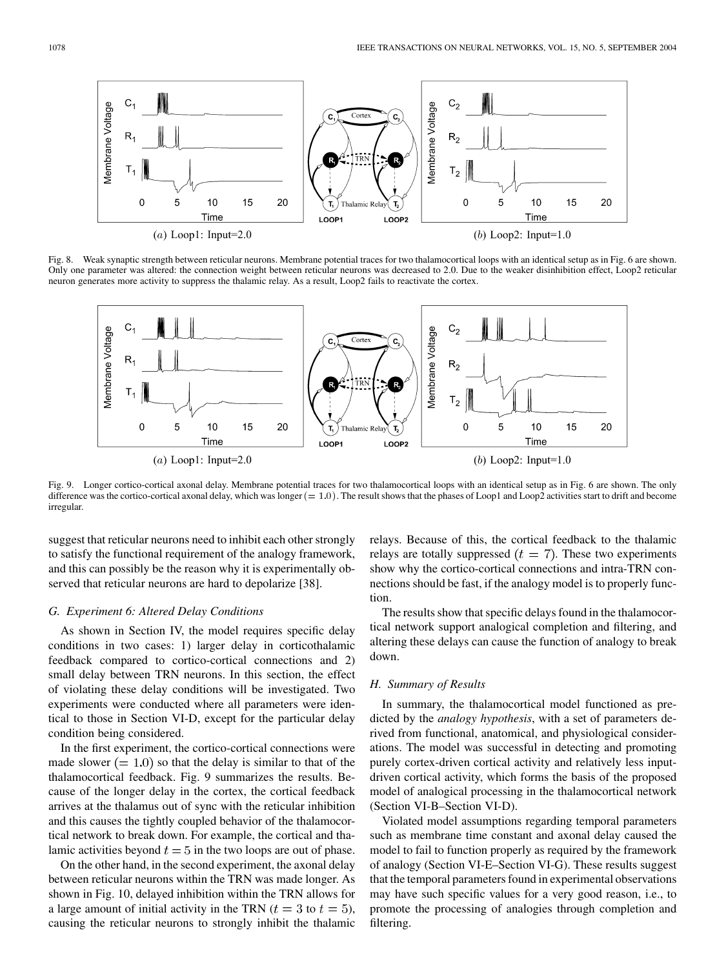

Fig. 8. Weak synaptic strength between reticular neurons. Membrane potential traces for two thalamocortical loops with an identical setup as in Fig. 6 are shown. Only one parameter was altered: the connection weight between reticular neurons was decreased to 2.0. Due to the weaker disinhibition effect, Loop2 reticular neuron generates more activity to suppress the thalamic relay. As a result, Loop2 fails to reactivate the cortex.



Fig. 9. Longer cortico-cortical axonal delay. Membrane potential traces for two thalamocortical loops with an identical setup as in Fig. 6 are shown. The only difference was the cortico-cortical axonal delay, which was longer  $(= 1.0)$ . The result shows that the phases of Loop1 and Loop2 activities start to drift and become irregular.

suggest that reticular neurons need to inhibit each other strongly to satisfy the functional requirement of the analogy framework, and this can possibly be the reason why it is experimentally observed that reticular neurons are hard to depolarize [[38\]](#page-10-0).

## *G. Experiment 6: Altered Delay Conditions*

As shown in Section IV, the model requires specific delay conditions in two cases: 1) larger delay in corticothalamic feedback compared to cortico-cortical connections and 2) small delay between TRN neurons. In this section, the effect of violating these delay conditions will be investigated. Two experiments were conducted where all parameters were identical to those in Section VI-D, except for the particular delay condition being considered.

In the first experiment, the cortico-cortical connections were made slower  $(= 1.0)$  so that the delay is similar to that of the thalamocortical feedback. Fig. 9 summarizes the results. Because of the longer delay in the cortex, the cortical feedback arrives at the thalamus out of sync with the reticular inhibition and this causes the tightly coupled behavior of the thalamocortical network to break down. For example, the cortical and thalamic activities beyond  $t = 5$  in the two loops are out of phase.

On the other hand, in the second experiment, the axonal delay between reticular neurons within the TRN was made longer. As shown in Fig. 10, delayed inhibition within the TRN allows for a large amount of initial activity in the TRN ( $t=3$  to  $t=5$ ), causing the reticular neurons to strongly inhibit the thalamic relays. Because of this, the cortical feedback to the thalamic relays are totally suppressed  $(t = 7)$ . These two experiments show why the cortico-cortical connections and intra-TRN connections should be fast, if the analogy model is to properly function.

The results show that specific delays found in the thalamocortical network support analogical completion and filtering, and altering these delays can cause the function of analogy to break down.

## *H. Summary of Results*

In summary, the thalamocortical model functioned as predicted by the *analogy hypothesis*, with a set of parameters derived from functional, anatomical, and physiological considerations. The model was successful in detecting and promoting purely cortex-driven cortical activity and relatively less inputdriven cortical activity, which forms the basis of the proposed model of analogical processing in the thalamocortical network (Section VI-B–Section VI-D).

Violated model assumptions regarding temporal parameters such as membrane time constant and axonal delay caused the model to fail to function properly as required by the framework of analogy (Section VI-E–Section VI-G). These results suggest that the temporal parameters found in experimental observations may have such specific values for a very good reason, i.e., to promote the processing of analogies through completion and filtering.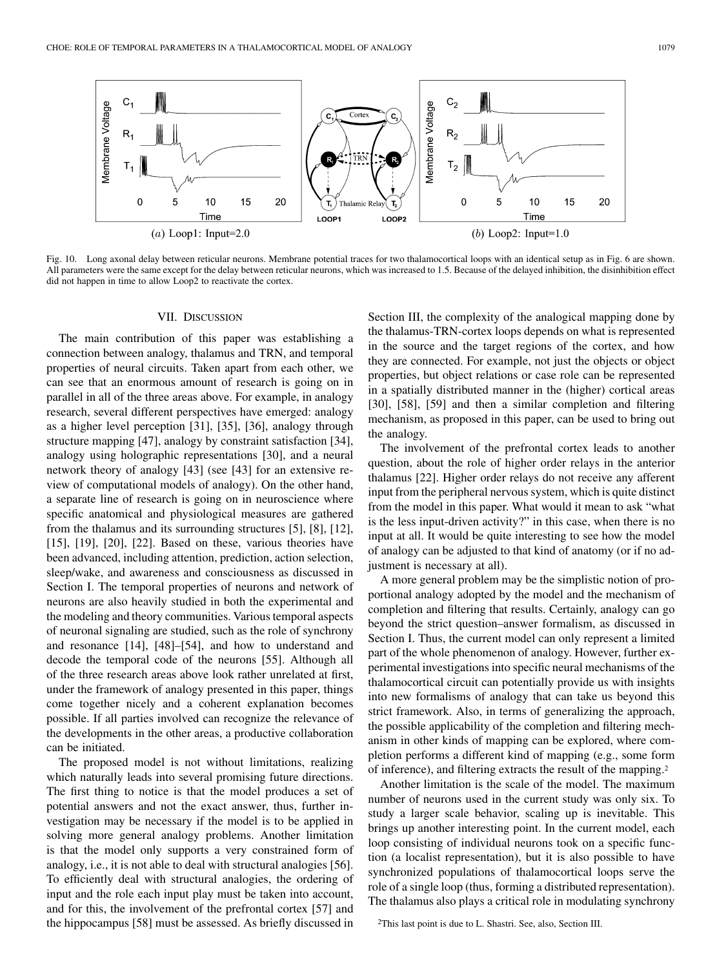

Fig. 10. Long axonal delay between reticular neurons. Membrane potential traces for two thalamocortical loops with an identical setup as in Fig. 6 are shown. All parameters were the same except for the delay between reticular neurons, which was increased to 1.5. Because of the delayed inhibition, the disinhibition effect did not happen in time to allow Loop2 to reactivate the cortex.

## VII. DISCUSSION

The main contribution of this paper was establishing a connection between analogy, thalamus and TRN, and temporal properties of neural circuits. Taken apart from each other, we can see that an enormous amount of research is going on in parallel in all of the three areas above. For example, in analogy research, several different perspectives have emerged: analogy as a higher level perception [\[31](#page-10-0)], [\[35](#page-10-0)], [[36\]](#page-10-0), analogy through structure mapping [\[47](#page-10-0)], analogy by constraint satisfaction [\[34](#page-10-0)], analogy using holographic representations [\[30](#page-10-0)], and a neural network theory of analogy [\[43](#page-10-0)] (see [[43\]](#page-10-0) for an extensive review of computational models of analogy). On the other hand, a separate line of research is going on in neuroscience where specific anatomical and physiological measures are gathered from the thalamus and its surrounding structures [[5\]](#page-9-0), [\[8](#page-9-0)], [\[12](#page-10-0)], [\[15](#page-10-0)], [[19\]](#page-10-0), [\[20](#page-10-0)], [\[22](#page-10-0)]. Based on these, various theories have been advanced, including attention, prediction, action selection, sleep/wake, and awareness and consciousness as discussed in Section I. The temporal properties of neurons and network of neurons are also heavily studied in both the experimental and the modeling and theory communities. Various temporal aspects of neuronal signaling are studied, such as the role of synchrony and resonance [[14\]](#page-10-0), [[48\]](#page-10-0)–[\[54](#page-10-0)], and how to understand and decode the temporal code of the neurons [\[55](#page-10-0)]. Although all of the three research areas above look rather unrelated at first, under the framework of analogy presented in this paper, things come together nicely and a coherent explanation becomes possible. If all parties involved can recognize the relevance of the developments in the other areas, a productive collaboration can be initiated.

The proposed model is not without limitations, realizing which naturally leads into several promising future directions. The first thing to notice is that the model produces a set of potential answers and not the exact answer, thus, further investigation may be necessary if the model is to be applied in solving more general analogy problems. Another limitation is that the model only supports a very constrained form of analogy, i.e., it is not able to deal with structural analogies [\[56](#page-10-0)]. To efficiently deal with structural analogies, the ordering of input and the role each input play must be taken into account, and for this, the involvement of the prefrontal cortex [\[57](#page-10-0)] and the hippocampus [\[58](#page-10-0)] must be assessed. As briefly discussed in

Section III, the complexity of the analogical mapping done by the thalamus-TRN-cortex loops depends on what is represented in the source and the target regions of the cortex, and how they are connected. For example, not just the objects or object properties, but object relations or case role can be represented in a spatially distributed manner in the (higher) cortical areas [\[30](#page-10-0)], [\[58](#page-10-0)], [[59\]](#page-10-0) and then a similar completion and filtering mechanism, as proposed in this paper, can be used to bring out the analogy.

The involvement of the prefrontal cortex leads to another question, about the role of higher order relays in the anterior thalamus [\[22](#page-10-0)]. Higher order relays do not receive any afferent input from the peripheral nervous system, which is quite distinct from the model in this paper. What would it mean to ask "what is the less input-driven activity?" in this case, when there is no input at all. It would be quite interesting to see how the model of analogy can be adjusted to that kind of anatomy (or if no adjustment is necessary at all).

A more general problem may be the simplistic notion of proportional analogy adopted by the model and the mechanism of completion and filtering that results. Certainly, analogy can go beyond the strict question–answer formalism, as discussed in Section I. Thus, the current model can only represent a limited part of the whole phenomenon of analogy. However, further experimental investigations into specific neural mechanisms of the thalamocortical circuit can potentially provide us with insights into new formalisms of analogy that can take us beyond this strict framework. Also, in terms of generalizing the approach, the possible applicability of the completion and filtering mechanism in other kinds of mapping can be explored, where completion performs a different kind of mapping (e.g., some form of inference), and filtering extracts the result of the mapping.2

Another limitation is the scale of the model. The maximum number of neurons used in the current study was only six. To study a larger scale behavior, scaling up is inevitable. This brings up another interesting point. In the current model, each loop consisting of individual neurons took on a specific function (a localist representation), but it is also possible to have synchronized populations of thalamocortical loops serve the role of a single loop (thus, forming a distributed representation). The thalamus also plays a critical role in modulating synchrony

2This last point is due to L. Shastri. See, also, Section III.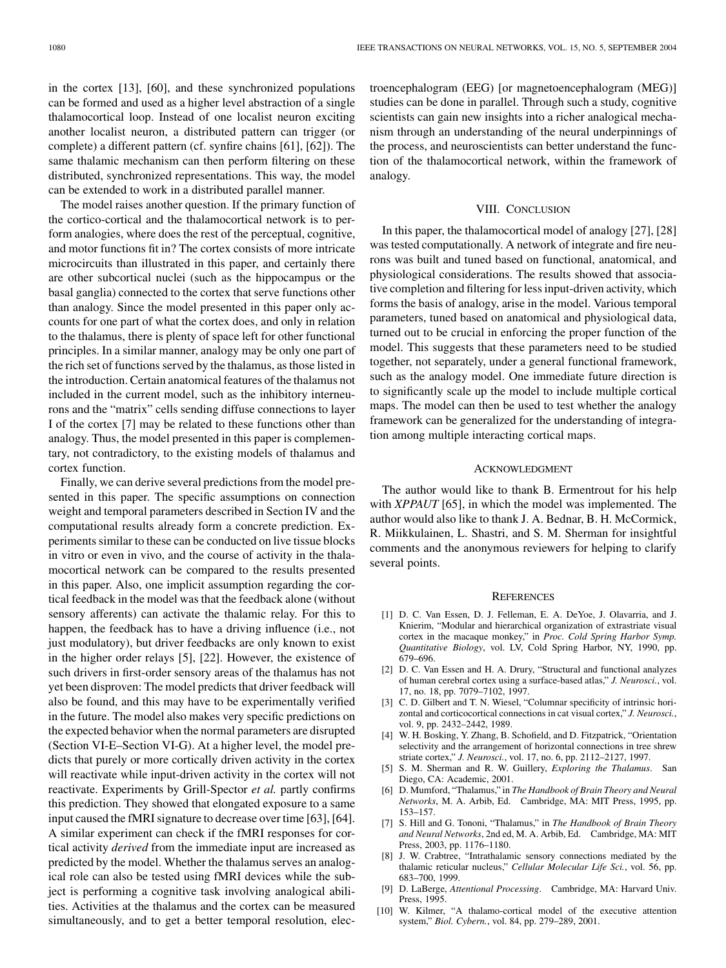<span id="page-9-0"></span>in the cortex [\[13](#page-10-0)], [[60\]](#page-10-0), and these synchronized populations can be formed and used as a higher level abstraction of a single thalamocortical loop. Instead of one localist neuron exciting another localist neuron, a distributed pattern can trigger (or complete) a different pattern (cf. synfire chains [\[61](#page-10-0)], [[62\]](#page-10-0)). The same thalamic mechanism can then perform filtering on these distributed, synchronized representations. This way, the model can be extended to work in a distributed parallel manner.

The model raises another question. If the primary function of the cortico-cortical and the thalamocortical network is to perform analogies, where does the rest of the perceptual, cognitive, and motor functions fit in? The cortex consists of more intricate microcircuits than illustrated in this paper, and certainly there are other subcortical nuclei (such as the hippocampus or the basal ganglia) connected to the cortex that serve functions other than analogy. Since the model presented in this paper only accounts for one part of what the cortex does, and only in relation to the thalamus, there is plenty of space left for other functional principles. In a similar manner, analogy may be only one part of the rich set of functions served by the thalamus, as those listed in the introduction. Certain anatomical features of the thalamus not included in the current model, such as the inhibitory interneurons and the "matrix" cells sending diffuse connections to layer I of the cortex [7] may be related to these functions other than analogy. Thus, the model presented in this paper is complementary, not contradictory, to the existing models of thalamus and cortex function.

Finally, we can derive several predictions from the model presented in this paper. The specific assumptions on connection weight and temporal parameters described in Section IV and the computational results already form a concrete prediction. Experiments similar to these can be conducted on live tissue blocks in vitro or even in vivo, and the course of activity in the thalamocortical network can be compared to the results presented in this paper. Also, one implicit assumption regarding the cortical feedback in the model was that the feedback alone (without sensory afferents) can activate the thalamic relay. For this to happen, the feedback has to have a driving influence (i.e., not just modulatory), but driver feedbacks are only known to exist in the higher order relays [5], [[22\]](#page-10-0). However, the existence of such drivers in first-order sensory areas of the thalamus has not yet been disproven: The model predicts that driver feedback will also be found, and this may have to be experimentally verified in the future. The model also makes very specific predictions on the expected behavior when the normal parameters are disrupted (Section VI-E–Section VI-G). At a higher level, the model predicts that purely or more cortically driven activity in the cortex will reactivate while input-driven activity in the cortex will not reactivate. Experiments by Grill-Spector *et al.* partly confirms this prediction. They showed that elongated exposure to a same input caused the fMRI signature to decrease over time [\[63](#page-10-0)], [[64\]](#page-11-0). A similar experiment can check if the fMRI responses for cortical activity *derived* from the immediate input are increased as predicted by the model. Whether the thalamus serves an analogical role can also be tested using fMRI devices while the subject is performing a cognitive task involving analogical abilities. Activities at the thalamus and the cortex can be measured simultaneously, and to get a better temporal resolution, electroencephalogram (EEG) [or magnetoencephalogram (MEG)] studies can be done in parallel. Through such a study, cognitive scientists can gain new insights into a richer analogical mechanism through an understanding of the neural underpinnings of the process, and neuroscientists can better understand the function of the thalamocortical network, within the framework of analogy.

#### VIII. CONCLUSION

In this paper, the thalamocortical model of analogy [\[27](#page-10-0)], [\[28](#page-10-0)] was tested computationally. A network of integrate and fire neurons was built and tuned based on functional, anatomical, and physiological considerations. The results showed that associative completion and filtering for less input-driven activity, which forms the basis of analogy, arise in the model. Various temporal parameters, tuned based on anatomical and physiological data, turned out to be crucial in enforcing the proper function of the model. This suggests that these parameters need to be studied together, not separately, under a general functional framework, such as the analogy model. One immediate future direction is to significantly scale up the model to include multiple cortical maps. The model can then be used to test whether the analogy framework can be generalized for the understanding of integration among multiple interacting cortical maps.

#### ACKNOWLEDGMENT

The author would like to thank B. Ermentrout for his help with *XPPAUT* [[65\]](#page-11-0), in which the model was implemented. The author would also like to thank J. A. Bednar, B. H. McCormick, R. Miikkulainen, L. Shastri, and S. M. Sherman for insightful comments and the anonymous reviewers for helping to clarify several points.

#### **REFERENCES**

- [1] D. C. Van Essen, D. J. Felleman, E. A. DeYoe, J. Olavarria, and J. Knierim, "Modular and hierarchical organization of extrastriate visual cortex in the macaque monkey," in *Proc. Cold Spring Harbor Symp. Quantitative Biology*, vol. LV, Cold Spring Harbor, NY, 1990, pp. 679–696.
- [2] D. C. Van Essen and H. A. Drury, "Structural and functional analyzes of human cerebral cortex using a surface-based atlas," *J. Neurosci.*, vol. 17, no. 18, pp. 7079–7102, 1997.
- [3] C. D. Gilbert and T. N. Wiesel, "Columnar specificity of intrinsic horizontal and corticocortical connections in cat visual cortex," *J. Neurosci.*, vol. 9, pp. 2432–2442, 1989.
- [4] W. H. Bosking, Y. Zhang, B. Schofield, and D. Fitzpatrick, "Orientation selectivity and the arrangement of horizontal connections in tree shrew striate cortex," *J. Neurosci.*, vol. 17, no. 6, pp. 2112–2127, 1997.
- [5] S. M. Sherman and R. W. Guillery, *Exploring the Thalamus*. San Diego, CA: Academic, 2001.
- [6] D. Mumford, "Thalamus," in *The Handbook of Brain Theory and Neural Networks*, M. A. Arbib, Ed. Cambridge, MA: MIT Press, 1995, pp. 153–157.
- [7] S. Hill and G. Tononi, "Thalamus," in *The Handbook of Brain Theory and Neural Networks*, 2nd ed, M. A. Arbib, Ed. Cambridge, MA: MIT Press, 2003, pp. 1176–1180.
- [8] J. W. Crabtree, "Intrathalamic sensory connections mediated by the thalamic reticular nucleus," *Cellular Molecular Life Sci.*, vol. 56, pp. 683–700, 1999.
- [9] D. LaBerge, *Attentional Processing*. Cambridge, MA: Harvard Univ. Press, 1995.
- [10] W. Kilmer, "A thalamo-cortical model of the executive attention system," *Biol. Cybern.*, vol. 84, pp. 279–289, 2001.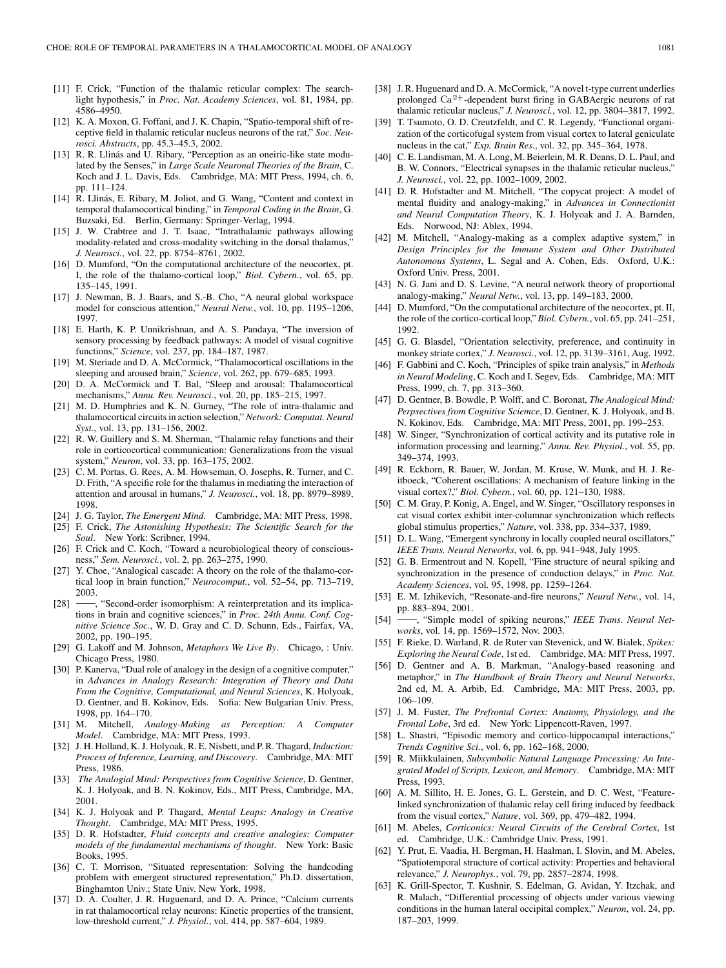- <span id="page-10-0"></span>[11] F. Crick, "Function of the thalamic reticular complex: The searchlight hypothesis," in *Proc. Nat. Academy Sciences*, vol. 81, 1984, pp. 4586–4950.
- [12] K. A. Moxon, G. Foffani, and J. K. Chapin, "Spatio-temporal shift of receptive field in thalamic reticular nucleus neurons of the rat," *Soc. Neurosci. Abstracts*, pp. 45.3–45.3, 2002.
- [13] R. R. Llinás and U. Ribary, "Perception as an oneiric-like state modulated by the Senses," in *Large Scale Neuronal Theories of the Brain*, C. Koch and J. L. Davis, Eds. Cambridge, MA: MIT Press, 1994, ch. 6, pp. 111–124.
- [14] R. Llinás, E. Ribary, M. Joliot, and G. Wang, "Content and context in temporal thalamocortical binding," in *Temporal Coding in the Brain*, G. Buzsaki, Ed. Berlin, Germany: Springer-Verlag, 1994.
- [15] J. W. Crabtree and J. T. Isaac, "Intrathalamic pathways allowing modality-related and cross-modality switching in the dorsal thalamus," *J. Neurosci.*, vol. 22, pp. 8754–8761, 2002.
- [16] D. Mumford, "On the computational architecture of the neocortex, pt. I, the role of the thalamo-cortical loop," *Biol. Cybern.*, vol. 65, pp. 135–145, 1991.
- [17] J. Newman, B. J. Baars, and S.-B. Cho, "A neural global workspace model for conscious attention," *Neural Netw.*, vol. 10, pp. 1195–1206, 1997.
- [18] E. Harth, K. P. Unnikrishnan, and A. S. Pandaya, "The inversion of sensory processing by feedback pathways: A model of visual cognitive functions," *Science*, vol. 237, pp. 184–187, 1987.
- [19] M. Steriade and D. A. McCormick, "Thalamocortical oscillations in the sleeping and aroused brain," *Science*, vol. 262, pp. 679–685, 1993.
- [20] D. A. McCormick and T. Bal, "Sleep and arousal: Thalamocortical mechanisms," *Annu. Rev. Neurosci.*, vol. 20, pp. 185–215, 1997.
- [21] M. D. Humphries and K. N. Gurney, "The role of intra-thalamic and thalamocortical circuits in action selection," *Network: Computat. Neural Syst.*, vol. 13, pp. 131–156, 2002.
- [22] R. W. Guillery and S. M. Sherman, "Thalamic relay functions and their role in corticocortical communication: Generalizations from the visual system," *Neuron*, vol. 33, pp. 163–175, 2002.
- [23] C. M. Portas, G. Rees, A. M. Howseman, O. Josephs, R. Turner, and C. D. Frith, "A specific role for the thalamus in mediating the interaction of attention and arousal in humans," *J. Neurosci.*, vol. 18, pp. 8979–8989, 1998.
- [24] J. G. Taylor, *The Emergent Mind*. Cambridge, MA: MIT Press, 1998.
- [25] F. Crick, *The Astonishing Hypothesis: The Scientific Search for the Soul*. New York: Scribner, 1994.
- [26] F. Crick and C. Koch, "Toward a neurobiological theory of consciousness," *Sem. Neurosci.*, vol. 2, pp. 263–275, 1990.
- [27] Y. Choe, "Analogical cascade: A theory on the role of the thalamo-cortical loop in brain function," *Neurocomput.*, vol. 52–54, pp. 713–719, 2003.
- [28]  $\longrightarrow$ , "Second-order isomorphism: A reinterpretation and its implications in brain and cognitive sciences," in *Proc. 24th Annu. Conf. Cognitive Science Soc.*, W. D. Gray and C. D. Schunn, Eds., Fairfax, VA, 2002, pp. 190–195.
- [29] G. Lakoff and M. Johnson, *Metaphors We Live By*. Chicago, : Univ. Chicago Press, 1980.
- [30] P. Kanerva, "Dual role of analogy in the design of a cognitive computer," in *Advances in Analogy Research: Integration of Theory and Data From the Cognitive, Computational, and Neural Sciences*, K. Holyoak, D. Gentner, and B. Kokinov, Eds. Sofia: New Bulgarian Univ. Press, 1998, pp. 164–170.
- [31] M. Mitchell, *Analogy-Making as Perception: A Computer Model*. Cambridge, MA: MIT Press, 1993.
- [32] J. H. Holland, K. J. Holyoak, R. E. Nisbett, and P. R. Thagard, *Induction: Process of Inference, Learning, and Discovery*. Cambridge, MA: MIT Press, 1986.
- [33] *The Analogial Mind: Perspectives from Cognitive Science*, D. Gentner, K. J. Holyoak, and B. N. Kokinov, Eds., MIT Press, Cambridge, MA, 2001.
- [34] K. J. Holyoak and P. Thagard, *Mental Leaps: Analogy in Creative Thought*. Cambridge, MA: MIT Press, 1995.
- [35] D. R. Hofstadter, *Fluid concepts and creative analogies: Computer models of the fundamental mechanisms of thought*. New York: Basic Books, 1995.
- [36] C. T. Morrison, "Situated representation: Solving the handcoding problem with emergent structured representation," Ph.D. dissertation, Binghamton Univ.; State Univ. New York, 1998.
- [37] D. A. Coulter, J. R. Huguenard, and D. A. Prince, "Calcium currents in rat thalamocortical relay neurons: Kinetic properties of the transient, low-threshold current," *J. Physiol.*, vol. 414, pp. 587–604, 1989.
- [38] J. R. Huguenard and D. A. McCormick, "A novel t-type current underlies prolonged  $Ca^{2+}$ -dependent burst firing in GABAergic neurons of rat thalamic reticular nucleus," *J. Neurosci.*, vol. 12, pp. 3804–3817, 1992.
- [39] T. Tsumoto, O. D. Creutzfeldt, and C. R. Legendy, "Functional organization of the corticofugal system from visual cortex to lateral geniculate nucleus in the cat," *Exp. Brain Res.*, vol. 32, pp. 345–364, 1978.
- [40] C. E. Landisman, M. A. Long, M. Beierlein, M. R. Deans, D. L. Paul, and B. W. Connors, "Electrical synapses in the thalamic reticular nucleus," *J. Neurosci.*, vol. 22, pp. 1002–1009, 2002.
- [41] D. R. Hofstadter and M. Mitchell, "The copycat project: A model of mental fluidity and analogy-making," in *Advances in Connectionist and Neural Computation Theory*, K. J. Holyoak and J. A. Barnden, Eds. Norwood, NJ: Ablex, 1994.
- [42] M. Mitchell, "Analogy-making as a complex adaptive system," in *Design Principles for the Immune System and Other Distributed Autonomous Systems*, L. Segal and A. Cohen, Eds. Oxford, U.K.: Oxford Univ. Press, 2001.
- [43] N. G. Jani and D. S. Levine, "A neural network theory of proportional analogy-making," *Neural Netw.*, vol. 13, pp. 149–183, 2000.
- [44] D. Mumford, "On the computational architecture of the neocortex, pt. II, the role of the cortico-cortical loop," *Biol. Cybern.*, vol. 65, pp. 241–251, 1992.
- [45] G. G. Blasdel, "Orientation selectivity, preference, and continuity in monkey striate cortex," *J. Neurosci.*, vol. 12, pp. 3139–3161, Aug. 1992.
- [46] F. Gabbini and C. Koch, "Principles of spike train analysis," in *Methods in Neural Modeling*, C. Koch and I. Segev, Eds. Cambridge, MA: MIT Press, 1999, ch. 7, pp. 313–360.
- [47] D. Gentner, B. Bowdle, P. Wolff, and C. Boronat, *The Analogical Mind: Perpsectives from Cognitive Sciemce*, D. Gentner, K. J. Holyoak, and B. N. Kokinov, Eds. Cambridge, MA: MIT Press, 2001, pp. 199–253.
- [48] W. Singer, "Synchronization of cortical activity and its putative role in information processing and learning," *Annu. Rev. Physiol.*, vol. 55, pp. 349–374, 1993.
- [49] R. Eckhorn, R. Bauer, W. Jordan, M. Kruse, W. Munk, and H. J. Reitboeck, "Coherent oscillations: A mechanism of feature linking in the visual cortex?," *Biol. Cybern.*, vol. 60, pp. 121–130, 1988.
- [50] C. M. Gray, P. Konig, A. Engel, and W. Singer, "Oscillatory responses in cat visual cortex exhibit inter-columnar synchronization which reflects global stimulus properties," *Nature*, vol. 338, pp. 334–337, 1989.
- [51] D. L. Wang, "Emergent synchrony in locally coupled neural oscillators," *IEEE Trans. Neural Networks*, vol. 6, pp. 941–948, July 1995.
- [52] G. B. Ermentrout and N. Kopell, "Fine structure of neural spiking and synchronization in the presence of conduction delays," in *Proc. Nat. Academy Sciences*, vol. 95, 1998, pp. 1259–1264.
- [53] E. M. Izhikevich, "Resonate-and-fire neurons," *Neural Netw.*, vol. 14, pp. 883–894, 2001.
- [54]  $\frac{1}{\sqrt{2}}$ , "Simple model of spiking neurons," *IEEE Trans. Neural Networks*, vol. 14, pp. 1569–1572, Nov. 2003.
- [55] F. Rieke, D. Warland, R. de Ruter van Stevenick, and W. Bialek, *Spikes: Exploring the Neural Code*, 1st ed. Cambridge, MA: MIT Press, 1997.
- [56] D. Gentner and A. B. Markman, "Analogy-based reasoning and metaphor," in *The Handbook of Brain Theory and Neural Networks*, 2nd ed, M. A. Arbib, Ed. Cambridge, MA: MIT Press, 2003, pp. 106–109.
- [57] J. M. Fuster, *The Prefrontal Cortex: Anatomy, Physiology, and the Frontal Lobe*, 3rd ed. New York: Lippencott-Raven, 1997.
- [58] L. Shastri, "Episodic memory and cortico-hippocampal interactions," *Trends Cognitive Sci.*, vol. 6, pp. 162–168, 2000.
- [59] R. Miikkulainen, *Subsymbolic Natural Language Processing: An Integrated Model of Scripts, Lexicon, and Memory*. Cambridge, MA: MIT Press, 1993.
- [60] A. M. Sillito, H. E. Jones, G. L. Gerstein, and D. C. West, "Featurelinked synchronization of thalamic relay cell firing induced by feedback from the visual cortex," *Nature*, vol. 369, pp. 479–482, 1994.
- [61] M. Abeles, *Corticonics: Neural Circuits of the Cerebral Cortex*, 1st ed. Cambridge, U.K.: Cambridge Univ. Press, 1991.
- [62] Y. Prut, E. Vaadia, H. Bergman, H. Haalman, I. Slovin, and M. Abeles, "Spatiotemporal structure of cortical activity: Properties and behavioral relevance," *J. Neurophys.*, vol. 79, pp. 2857–2874, 1998.
- [63] K. Grill-Spector, T. Kushnir, S. Edelman, G. Avidan, Y. Itzchak, and R. Malach, "Differential processing of objects under various viewing conditions in the human lateral occipital complex," *Neuron*, vol. 24, pp. 187–203, 1999.